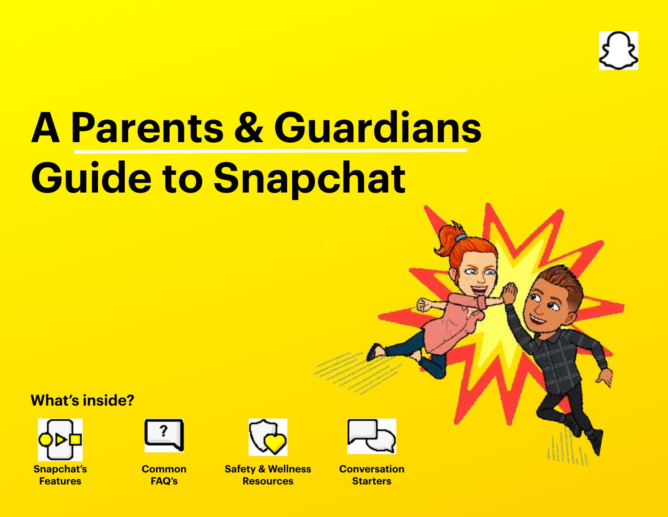

## **A Parents & Guardians Guide to Snapchat**

#### **What's inside?**





**Common FAQ's**

**Safety & Wellness Resources**

**Conversation Starters**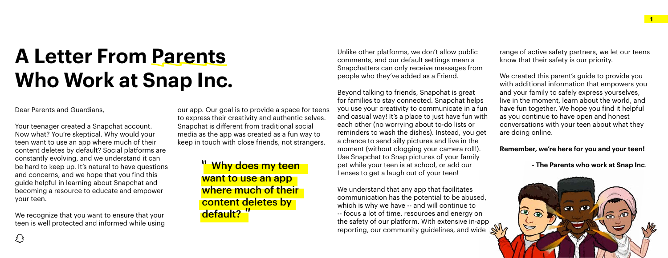## **A Letter From Parents Who Work at Snap Inc.**

Dear Parents and Guardians,

Your teenager created a Snapchat account. Now what? You're skeptical. Why would your teen want to use an app where much of their content deletes by default? Social platforms are constantly evolving, and we understand it can be hard to keep up. It's natural to have questions and concerns, and we hope that you find this guide helpful in learning about Snapchat and becoming a resource to educate and empower your teen.

We recognize that you want to ensure that your teen is well protected and informed while using our app. Our goal is to provide a space for teens to express their creativity and authentic selves. Snapchat is different from traditional social media as the app was created as a fun way to keep in touch with close friends, not strangers.

> Why does my teen want to use an app where much of their content deletes by default?

range of active safety partners, we let our teens know that their safety is our priority.

We understand that any app that facilitates communication has the potential to be abused, which is why we have -- and will continue to -- focus a lot of time, resources and energy on the safety of our platform. With extensive in-app reporting, our community guidelines, and wide

We created this parent's guide to provide you with additional information that empowers you and your family to safely express yourselves, live in the moment, learn about the world, and have fun together. We hope you find it helpful as you continue to have open and honest conversations with your teen about what they are doing online.

#### **Remember, we're here for you and your teen!**

**- The Parents who work at Snap Inc**.



Unlike other platforms, we don't allow public comments, and our default settings mean a Snapchatters can only receive messages from people who they've added as a Friend.

Beyond talking to friends, Snapchat is great for families to stay connected. Snapchat helps you use your creativity to communicate in a fun and casual way! It's a place to just have fun with each other (no worrying about to-do lists or reminders to wash the dishes). Instead, you get a chance to send silly pictures and live in the moment (without clogging your camera roll!). Use Snapchat to Snap pictures of your family pet while your teen is at school, or add our Lenses to get a laugh out of your teen!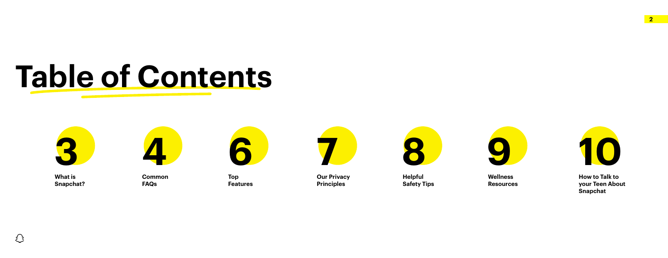## **Table of Contents**



**What is Snapchat?**



**Common FAQs**



**Top Features**



**Our Privacy Principles**



**Helpful Safety Tips**



**Wellness Resources**



**How to Talk to your Teen About Snapchat**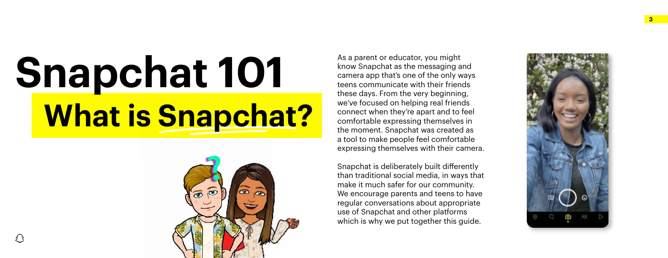As a parent or educator, you might know Snapchat as the messaging and camera app that's one of the only ways teens communicate with their friends these days. From the very beginning, we've focused on helping real friends connect when they're apart and to feel comfortable expressing themselves in the moment. Snapchat was created as a tool to make people feel comfortable expressing themselves with their camera.

Snapchat is deliberately built differently than traditional social media, in ways that make it much safer for our community. We encourage parents and teens to have regular conversations about appropriate use of Snapchat and other platforms which is why we put together this guide.



# **Snapchat 101 What is Snapchat?**

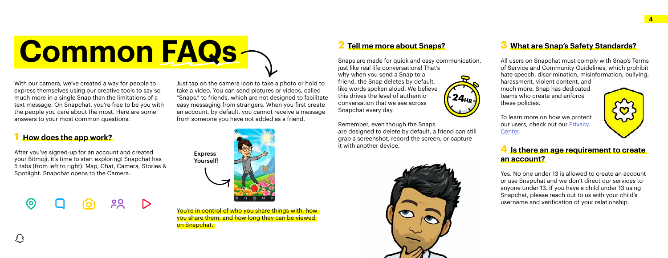**Common FAQs**

With our camera, we've created a way for people to express themselves using our creative tools to say so much more in a single Snap than the limitations of a text message. On Snapchat, you're free to be you with the people you care about the most. Here are some answers to your most common questions:

#### **1 How does the app work?**

After you've signed-up for an account and created your Bitmoji, it's time to start exploring! Snapchat has 5 tabs (from left to right): Map, Chat, Camera, Stories & Spotlight. Snapchat opens to the Camera.

> You're in control of who you share things with, how you share them, and how long they can be viewed on Snapchat.

Just tap on the camera icon to take a photo or hold to take a video. You can send pictures or videos, called "Snaps," to friends, which are not designed to facilitate easy messaging from strangers. When you first create an account, by default, you cannot receive a message from someone you have not added as a friend.

Express Yourself!



#### **2 Tell me more about Snaps?**

Snaps are made for quick and easy communication,

just like real life conversations! That's why when you send a Snap to a friend, the Snap deletes by default, like words spoken aloud. We believe this drives the level of authentic conversation that we see across Snapchat every day.

Remember, even though the Snaps are designed to delete by default, a friend can still grab a screenshot, record the screen, or capture it with another device.

#### **3 What are Snap's Safety Standards?**

All users on Snapchat must comply with Snap's Terms of Service and Community Guidelines, which prohibit hate speech, discrimination, misinformation, bullying,

harassment, violent content, and much more. Snap has dedicated teams who create and enforce these policies.

To learn more on how we protect our users, check out our [Privacy](https://www.snap.com/en-US/privacy/privacy-center)  [Center.](https://www.snap.com/en-US/privacy/privacy-center)



#### **4 Is there an age requirement to create an account?**

Yes. No one under 13 is allowed to create an account or use Snapchat and we don't direct our services to anyone under 13. If you have a child under 13 using Snapchat, please reach out to us with your child's username and verification of your relationship.



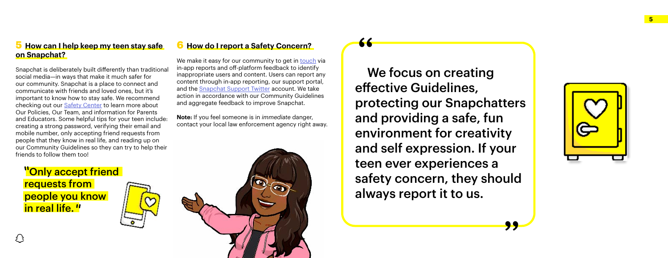

**"**  We focus on creating effective Guidelines, protecting our Snapchatters and providing a safe, fun environment for creativity and self expression. If your teen ever experiences a safety concern, they should always report it to us.



### **5 How can I help keep my teen stay safe on Snapchat?**

Snapchat is deliberately built differently than traditional social media—in ways that make it much safer for our community. Snapchat is a place to connect and communicate with friends and loved ones, but it's important to know how to stay safe. We recommend checking out our [Safety Center](https://www.snap.com/en-US/safety/safety-center/) to learn more about Our Policies, Our Team, and information for Parents and Educators. Some helpful tips for your teen include: creating a strong password, verifying their email and mobile number, only accepting friend requests from people that they know in real life, and reading up on our Community Guidelines so they can try to help their friends to follow them too!

We make it easy for our community to get in [touch](https://support.snapchat.com/en-US/a/report-abuse-in-app) via in-app reports and off-platform feedback to identify inappropriate users and content. Users can report any content through in-app reporting, our support portal, and the [Snapchat Support Twitter](https://twitter.com/snapchatsupport) account. We take action in accordance with our Community Guidelines and aggregate feedback to improve Snapchat.

### **6 How do I report a Safety Concern?**

**Note:** If you feel someone is in *immediate* danger, contact your local law enforcement agency right away.

"Only accept friend requests from people you know in real life."



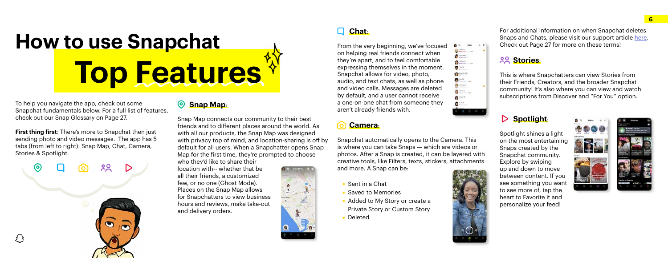

From the very beginning, we've focused on helping real friends connect when they're apart, and to feel comfortable expressing themselves in the moment. Snapchat allows for video, photo, audio, and text chats, as well as phone and video calls. Messages are deleted by default, and a user cannot receive a one-on-one chat from someone they aren't already friends with.

### **Camera**:

Snapchat automatically opens to the Camera. This is where you can take Snaps — which are videos or photos. After a Snap is created, it can be layered with creative tools, like Filters, texts, stickers, attachments and more. A Snap can be:

- Sent in a Chat
- Saved to Memories
- 
- Deleted





Private Story or Custom Story



For additional information on when Snapchat deletes Snaps and Chats, please visit our support article [here.](https://support.snapchat.com/en-US/a/delete-my-account1) Check out Page 27 for more on these terms!

#### **Stories**:

with privacy top of mind, and location-sharing is off by default for all users. When a Snapchatter opens Snap

This is where Snapchatters can view Stories from their Friends, Creators, and the broader Snapchat community! It's also where you can view and watch subscriptions from Discover and "For You" option.

### **Spotlight**:

Spotlight shines a light on the most entertaining Snaps created by the Snapchat community. Explore by swiping up and down to move between content. If you see something you want to see more of, tap the heart to Favorite it and personalize your feed!





• Added to My Story or create a

## **How to use Snapchat Top Features**

To help you navigate the app, check out some Snapchat fundamentals below. For a full list of features, check out our Snap Glossary on Page 27.

**First thing first**: There's more to Snapchat then just sending photo and video messages. The app has 5 tabs (from left to right): Snap Map, Chat, Camera, Stories & Spotlight.

 **Snap Map**:

Snap Map connects our community to their best friends and to different places around the world. As with all our products, the Snap Map was designed

Map for the first time, they're prompted to choose who they'd like to share their location with-- whether that be all their friends, a customized few, or no one (Ghost Mode). Places on the Snap Map allows for Snapchatters to view business hours and reviews, make take-out and delivery orders.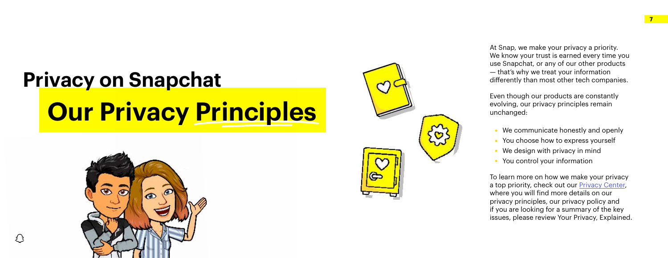## **Our Privacy Principles Privacy on Snapchat**







At Snap, we make your privacy a priority. We know your trust is earned every time you use Snapchat, or any of our other products — that's why we treat your information differently than most other tech companies.

Even though our products are constantly evolving, our privacy principles remain unchanged:

- We communicate honestly and openly
- You choose how to express yourself
- We design with privacy in mind
- You control your information

To learn more on how we make your privacy a top priority, check out our **Privacy Center**, where you will find more details on our privacy principles, our privacy policy and if you are looking for a summary of the key issues, please review Your Privacy, Explained.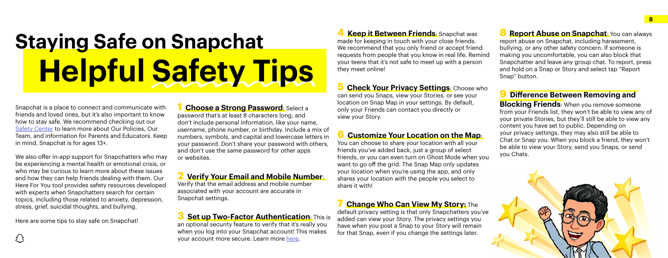**4 Keep it Between Friends**: Snapchat was made for keeping in touch with your close friends. We recommend that you only friend or accept friend requests from people that you know in real life. Remind your teens that it's not safe to meet up with a person they meet online!

**Check Your Privacy Settings: Choose who** can send you Snaps, view your Stories, or see your location on Snap Map in your settings. By default, only your Friends can contact you directly or view your Story.

### **6 Customize Your Location on the Map**:

You can choose to share your location with all your friends you've added back, just a group of select friends, or you can even turn on Ghost Mode when you want to go off the grid. The Snap Map only updates your location when you're using the app, and only shares your location with the people you select to share it with!

### *Change Who Can View My Story: The*

**8 Report Abuse on Snapchat**: You can always report abuse on Snapchat, including harassment, bullying, or any other safety concern. If someone is making you uncomfortable, you can also block that Snapchatter and leave any group chat. To report, press and hold on a Snap or Story and select tap "Report Snap" button.

**Blocking Friends:** When you remove someone from your Friends list, they won't be able to view any of your private Stories, but they'll still be able to view any content you have set to public. Depending on your privacy settings, they may also still be able to Chat or Snap you. When you block a friend, they won't be able to view your Story, send you Snaps, or send you Chats.



default privacy setting is that only Snapchatters you've added can view your Story. The privacy settings you have when you post a Snap to your Story will remain for that Snap, even if you change the settings later.

### **9 Difference Between Removing and**

**Choose a Strong Password: Select a** password that's at least 8 characters long, and don't include personal information, like your name, username, phone number, or birthday. Include a mix of numbers, symbols, and capital and lowercase letters in your password. Don't share your password with others, and don't use the same password for other apps or websites.

an optional security feature to verify that it's really you when you log into your Snapchat account! This makes your account more secure. Learn more [here](https://support.snapchat.com/en-US/a/enable-login-verification).

## **Staying Safe on Snapchat Helpful Safety Tips**

Snapchat is a place to connect and communicate with friends and loved ones, but it's also important to know how to stay safe. We recommend checking out our [Safety Center](https://www.snap.com/en-US/safety/safety-center/) to learn more about Our Policies, Our Team, and information for Parents and Educators. Keep in mind, Snapchat is for ages 13+.

We also offer in-app support for Snapchatters who may be experiencing a mental health or emotional crisis, or who may be curious to learn more about these issues and how they can help friends dealing with them. Our Here For You tool provides safety resources developed with experts when Snapchatters search for certain topics, including those related to anxiety, depression, stress, grief, suicidal thoughts, and bullying.

Here are some tips to stay safe on Snapchat!

#### **2 Verify Your Email and Mobile Number**:

Verify that the email address and mobile number associated with your account are accurate in Snapchat settings.

#### **3** Set up Two-Factor Authentication: This is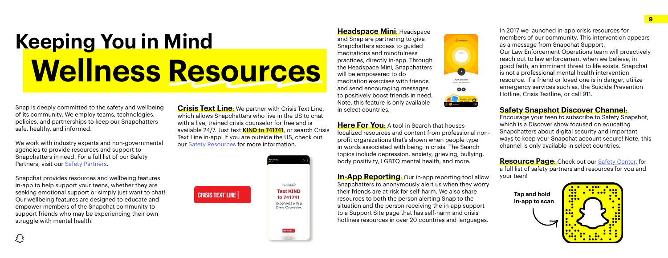**Headspace Mini**: Headspace and Snap are partnering to give Snapchatters access to guided meditations and mindfulness practices, directly in-app. Through the Headspace Mini, Snapchatters will be empowered to do meditation exercises with friends and send encouraging messages to positively boost friends in need. Note, this feature is only available in select countries.

**Here For You: A tool in Search that houses** localized resources and content from professional nonprofit organizations that's shown when people type in words associated with being in crisis. The Search topics include depression, anxiety, grieving, bullying, body positivity, LGBTQ mental health, and more.

**In-App Reporting:** Our in-app reporting tool allow Snapchatters to anonymously alert us when they worry their friends are at risk for self-harm. We also share resources to both the person alerting Snap to the situation and the person receiving the in-app support to a Support Site page that has self-harm and crisis hotlines resources in over 20 countries and languages.



**Resource Page:** Check out our **Safety Center**, for a full list of safety partners and resources for you and your teen!

In 2017 we launched in-app crisis resources for members of our community. This intervention appears as a message from Snapchat Support. Our Law Enforcement Operations team will proactively reach out to law enforcement when we believe, in good faith, an imminent threat to life exists. Snapchat is not a professional mental health intervention resource. If a friend or loved one is in danger, utilize emergency services such as, the Suicide Prevention Hotline, Crisis Textline, or call 911.

**Crisis Text Line:** We partner with Crisis Text Line, which allows Snapchatters who live in the US to chat with a live, trained crisis counselor for free and is available 24/7. Just text **KIND to 741741**, or search Crisis Text Line in-app! If you are outside the US, check out our [Safety Resources](https://support.snapchat.com/en-US/a/Snapchat-Safety) for more information.



### **Safety Snapshot Discover Channel**:

Encourage your teen to subscribe to Safety Snapshot, which is a Discover show focused on educating Snapchatters about digital security and important ways to keep your Snapchat account secure! Note, this channel is only available in select countries.

**Tap and hold in-app to scan**



## **Keeping You in Mind Wellness Resources**

Snap is deeply committed to the safety and wellbeing of its community. We employ teams, technologies, policies, and partnerships to keep our Snapchatters safe, healthy, and informed.

We work with industry experts and non-governmental agencies to provide resources and support to Snapchatters in need. For a full list of our Safety Partners, visit our [Safety Partners](https://www.snap.com/en-US/safety/safety-team).

Snapchat provides resources and wellbeing features in-app to help support your teens, whether they are seeking emotional support or simply just want to chat! Our wellbeing features are designed to educate and empower members of the Snapchat community to support friends who may be experiencing their own struggle with mental health!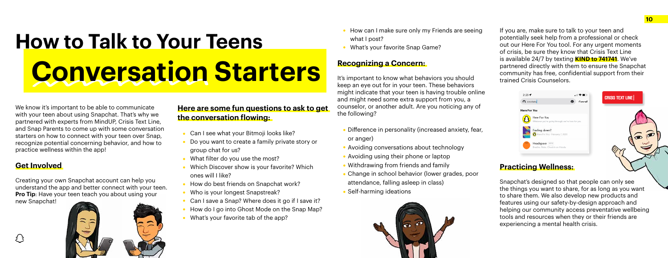## **How to Talk to Your Teens Conversation Starters**

### **Recognizing a Concern:**

- or anger)
- 
- 
- 
- 
- Self-harming ideations



• How can I make sure only my Friends are seeing

• What's your favorite Snap Game?

• Difference in personality (increased anxiety, fear,

It's important to know what behaviors you should keep an eye out for in your teen. These behaviors might indicate that your teen is having trouble online and might need some extra support from you, a counselor, or another adult. Are you noticing any of the following?

Avoiding conversations about technology • Avoiding using their phone or laptop • Withdrawing from friends and family • Change in school behavior (lower grades, poor attendance, falling asleep in class)

If you are, make sure to talk to your teen and potentially seek help from a professional or check out our Here For You tool. For any urgent moments of crisis, be sure they know that Crisis Text Line is available 24/7 by texting **KIND to 741741**. We've partnered directly with them to ensure the Snapchat community has free, confidential support from their trained Crisis Counselors.

Creating your own Snapchat account can help you understand the app and better connect with your teen. **Pro Tip:** Have your teen teach you about using your





Crisis text line

#### **Practicing Wellness:**

Snapchat's designed so that people can only see the things you want to share, for as long as you want to share them. We also develop new products and features using our safety-by-design approach and helping our community access preventative wellbeing tools and resources when they or their friends are experiencing a mental health crisis.

We know it's important to be able to communicate with your teen about using Snapchat. That's why we partnered with experts from MindUP, Crisis Text Line, and Snap Parents to come up with some conversation starters on how to connect with your teen over Snap, recognize potential concerning behavior, and how to practice wellness within the app!

#### **Get Involved**

new Snapchat!



#### **Here are some fun questions to ask to get the conversation flowing:**

- Can I see what your Bitmoji looks like?
- Do you want to create a family private story or group chat for us?
- What filter do you use the most?
- Which Discover show is your favorite? Which ones will I like?
- How do best friends on Snapchat work?
- Who is your longest Snapstreak?
- Can I save a Snap? Where does it go if I save it?
- How do I go into Ghost Mode on the Snap Map?
- What's your favorite tab of the app?
- what I post?
-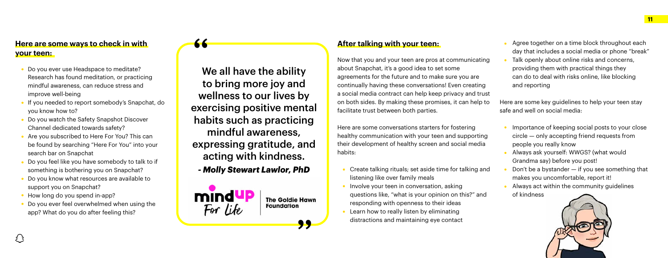#### **After talking with your teen:**

Here are some conversations starters for fostering healthy communication with your teen and supporting their development of healthy screen and social media habits:

- Create talking rituals; set aside time for talking and listening like over family meals
- 
- 

Now that you and your teen are pros at communicating about Snapchat, it's a good idea to set some agreements for the future and to make sure you are continually having these conversations! Even creating a social media contract can help keep privacy and trust on both sides. By making these promises, it can help to facilitate trust between both parties. Talk openly about online risks and concerns, providing them with practical things they can do to deal with risks online, like blocking and reporting Here are some key guidelines to help your teen stay safe and well on social media:

- Involve your teen in conversation, asking
- questions like, "what is your opinion on this?" and
- responding with openness to their ideas
- Learn how to really listen by eliminating
- distractions and maintaining eye contact

**66**<br>We all have the ability to bring more joy and wellness to our lives by exercising positive mental habits such as practicing mindful awareness, expressing gratitude, and acting with kindness.

- Agree together on a time block throughout each day that includes a social media or phone "break"
- 
- Do you ever use Headspace to meditate? Research has found meditation, or practicing mindful awareness, can reduce stress and improve well-being
- **If you needed to report somebody's Snapchat, do** you know how to?
- Do you watch the Safety Snapshot Discover Channel dedicated towards safety?
- Are you subscribed to Here For You? This can be found by searching "Here For You" into your search bar on Snapchat
- Do you feel like you have somebody to talk to if something is bothering you on Snapchat?
- Do you know what resources are available to support you on Snapchat?
- How long do you spend in-app?
- Do you ever feel overwhelmed when using the app? What do you do after feeling this?
- Importance of keeping social posts to your close circle — only accepting friend requests from people you really know
- Always ask yourself: WWGS? (what would Grandma say) before you post!
- Don't be a bystander if you see something that makes you uncomfortable, report it!
- Always act within the community guidelines of kindness



*- Molly Stewart Lawlor, PhD*



""<br>"

#### **Here are some ways to check in with your teen:**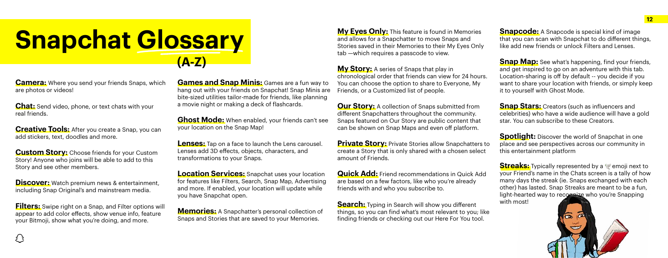## **Snapchat Glossary (A-Z)**

**Camera:** Where you send your friends Snaps, which are photos or videos!

**Creative Tools:** After you create a Snap, you can add stickers, text, doodles and more.

**Chat:** Send video, phone, or text chats with your real friends.

**Discover:** Watch premium news & entertainment, including Snap Original's and mainstream media.

**Filters:** Swipe right on a Snap, and Filter options will appear to add color effects, show venue info, feature your Bitmoji, show what you're doing, and more.

**Custom Story:** Choose friends for your Custom Story! Anyone who joins will be able to add to this Story and see other members.

**Ghost Mode:** When enabled, your friends can't see your location on the Snap Map!

**Location Services:** Snapchat uses your location for features like Filters, Search, Snap Map, Advertising and more. If enabled, your location will update while you have Snapchat open.

**Memories:** A Snapchatter's personal collection of Snaps and Stories that are saved to your Memories.

**Games and Snap Minis:** Games are a fun way to hang out with your friends on Snapchat! Snap Minis are bite-sized utilities tailor-made for friends, like planning a movie night or making a deck of flashcards.

**My Eyes Only:** This feature is found in Memories and allows for a Snapchatter to move Snaps and Stories saved in their Memories to their My Eyes Only tab —which requires a passcode to view.

**My Story:** A series of Snaps that play in chronological order that friends can view for 24 hours. You can choose the option to share to Everyone, My Friends, or a Customized list of people.

**Our Story:** A collection of Snaps submitted from different Snapchatters throughout the community. Snaps featured on Our Story are public content that can be shown on Snap Maps and even off platform.

**Lenses:** Tap on a face to launch the Lens carousel. Lenses add 3D effects, objects, characters, and transformations to your Snaps.

**Private Story:** Private Stories allow Snapchatters to create a Story that is only shared with a chosen select amount of Friends.

**Quick Add:** Friend recommendations in Quick Add are based on a few factors, like who you're already friends with and who you subscribe to.

**Search:** Typing in Search will show you different things, so you can find what's most relevant to you; like finding friends or checking out our Here For You tool.

**Snapcode:** A Snapcode is special kind of image that you can scan with Snapchat to do different things, like add new friends or unlock Filters and Lenses.

**Snap Map:** See what's happening, find your friends, and get inspired to go on an adventure with this tab. Location-sharing is off by default -- you decide if you want to share your location with friends, or simply keep it to yourself with Ghost Mode.

**Snap Stars:** Creators (such as influencers and celebrities) who have a wide audience will have a gold star. You can subscribe to these Creators.

**Spotlight:** Discover the world of Snapchat in one place and see perspectives across our community in this entertainment platform

**Streaks:** Typically represented by a *emoli* next to your Friend's name in the Chats screen is a tally of how many days the streak (ie. Snaps exchanged with each other) has lasted. Snap Streaks are meant to be a fun, light-hearted way to recognize who you're Snapping

with most!